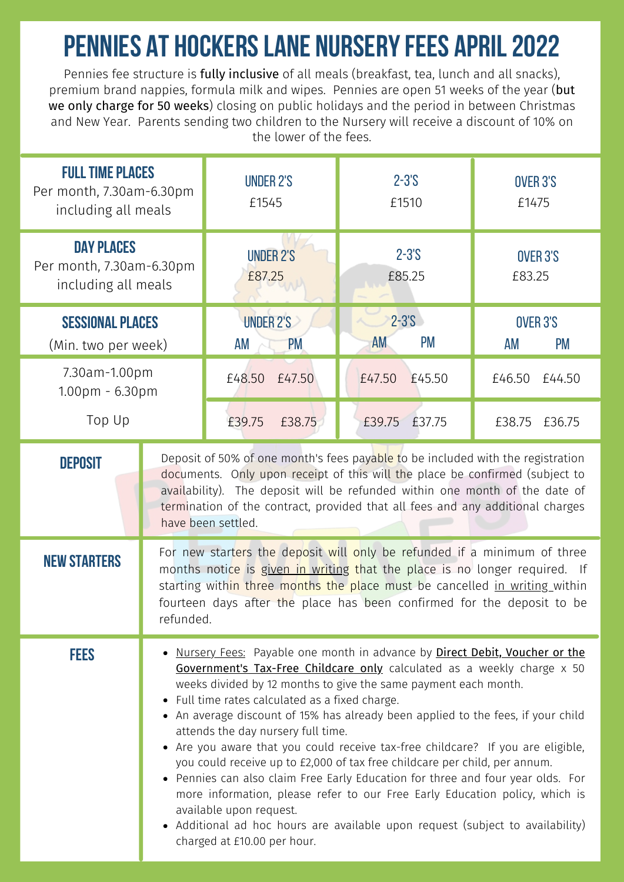## **PENNIES AT HOCKERS LANE NURSERY FEES APRIL 2022**

Pennies fee structure is fully inclusive of all meals (breakfast, tea, lunch and all snacks), premium brand nappies, formula milk and wipes. Pennies are open 51 weeks of the year (but we only charge for 50 weeks) closing on public holidays and the period in between Christmas and New Year. Parents sending two children to the Nursery will receive a discount of 10% on the lower of the fees.

| <b>FULL TIME PLACES</b><br>Per month, 7.30am-6.30pm<br>including all meals |                                                                                                                                                                                                                                                                                                                                                                                                                                                                                                                                                                                                                                                                                                                                                                                                                                                                                        | <b>UNDER 2'S</b><br>£1545           | $2 - 3S$<br>£1510                   | OVER 3'S<br>£1475                  |
|----------------------------------------------------------------------------|----------------------------------------------------------------------------------------------------------------------------------------------------------------------------------------------------------------------------------------------------------------------------------------------------------------------------------------------------------------------------------------------------------------------------------------------------------------------------------------------------------------------------------------------------------------------------------------------------------------------------------------------------------------------------------------------------------------------------------------------------------------------------------------------------------------------------------------------------------------------------------------|-------------------------------------|-------------------------------------|------------------------------------|
| <b>DAY PLACES</b><br>Per month, 7.30am-6.30pm<br>including all meals       |                                                                                                                                                                                                                                                                                                                                                                                                                                                                                                                                                                                                                                                                                                                                                                                                                                                                                        | <b>UNDER 2'S</b><br>£87.25          | $2 - 3S$<br>£85.25                  | OVER 3'S<br>£83.25                 |
| <b>SESSIONAL PLACES</b><br>(Min. two per week)                             |                                                                                                                                                                                                                                                                                                                                                                                                                                                                                                                                                                                                                                                                                                                                                                                                                                                                                        | <b>UNDER 2'S</b><br><b>PM</b><br>AM | $2 - 3.5$<br><b>PM</b><br><b>AM</b> | OVER 3'S<br><b>AM</b><br><b>PM</b> |
| 7.30am-1.00pm<br>1.00pm - 6.30pm                                           |                                                                                                                                                                                                                                                                                                                                                                                                                                                                                                                                                                                                                                                                                                                                                                                                                                                                                        | £48.50<br>£47.50                    | £47.50<br>£45.50                    | £46.50<br>£44.50                   |
| Top Up                                                                     |                                                                                                                                                                                                                                                                                                                                                                                                                                                                                                                                                                                                                                                                                                                                                                                                                                                                                        | £39.75<br>£38.75                    | £39.75<br>£37.75                    | £38.75<br>£36.75                   |
| <b>DEPOSIT</b>                                                             | Deposit of 50% of one month's fees payable to be included with the registration<br>documents. Only upon receipt of this will the place be confirmed (subject to<br>availability). The deposit will be refunded within one month of the date of<br>termination of the contract, provided that all fees and any additional charges<br>have been settled.                                                                                                                                                                                                                                                                                                                                                                                                                                                                                                                                 |                                     |                                     |                                    |
| <b>NEW STARTERS</b>                                                        | For new starters the deposit will only be refunded if a minimum of three<br>months notice is given in writing that the place is no longer required. If<br>starting within three months the place must be cancelled in writing within<br>fourteen days after the place has been confirmed for the deposit to be<br>refunded.                                                                                                                                                                                                                                                                                                                                                                                                                                                                                                                                                            |                                     |                                     |                                    |
| <b>FEES</b>                                                                | . Nursery Fees: Payable one month in advance by Direct Debit, Voucher or the<br>Government's Tax-Free Childcare only calculated as a weekly charge x 50<br>weeks divided by 12 months to give the same payment each month.<br>• Full time rates calculated as a fixed charge.<br>• An average discount of 15% has already been applied to the fees, if your child<br>attends the day nursery full time.<br>• Are you aware that you could receive tax-free childcare? If you are eligible,<br>you could receive up to £2,000 of tax free childcare per child, per annum.<br>• Pennies can also claim Free Early Education for three and four year olds. For<br>more information, please refer to our Free Early Education policy, which is<br>available upon request.<br>• Additional ad hoc hours are available upon request (subject to availability)<br>charged at £10.00 per hour. |                                     |                                     |                                    |